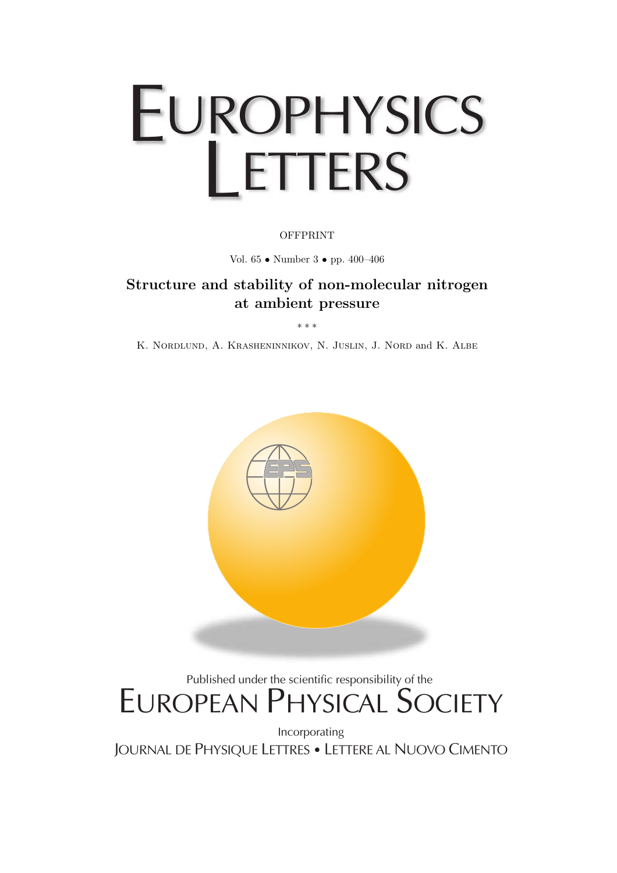# EUROPHYSICS LETTERS

### **OFFPRINT**

Vol. 65 • Number 3 • pp. 400–406

## **Structure and stability of non-molecular nitrogen at ambient pressure**

∗∗∗

K. Nordlund, A. Krasheninnikov, N. Juslin, J. Nord and K. Albe



## Published under the scientific responsibility of the EUROPEAN PHYSICAL SOCIETY

Incorporating JOURNAL DE PHYSIQUE LETTRES • LETTERE AL NUOVO CIMENTO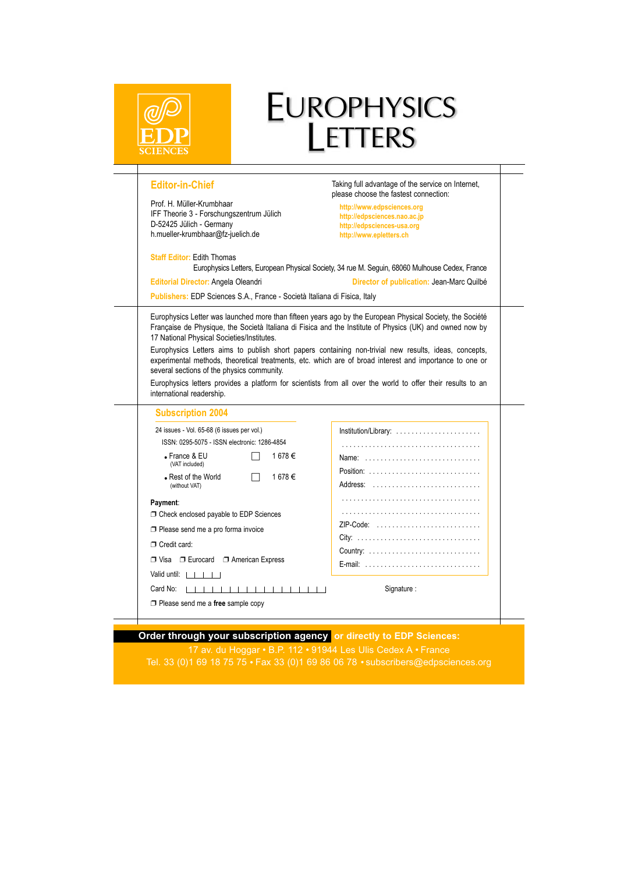|                                                                                                                                                                                                       | EUROPHYSICS<br>LETTERS                                                                                                                                                                                                                                                                                                          |
|-------------------------------------------------------------------------------------------------------------------------------------------------------------------------------------------------------|---------------------------------------------------------------------------------------------------------------------------------------------------------------------------------------------------------------------------------------------------------------------------------------------------------------------------------|
| <b>Editor-in-Chief</b><br>Prof. H. Müller-Krumbhaar<br>IFF Theorie 3 - Forschungszentrum Jülich<br>D-52425 Jülich - Germany<br>h.mueller-krumbhaar@fz-juelich.de<br><b>Staff Editor: Edith Thomas</b> | Taking full advantage of the service on Internet,<br>please choose the fastest connection:<br>http://www.edpsciences.org<br>http://edpsciences.nao.ac.jp<br>http://edpsciences-usa.org<br>http://www.epletters.ch                                                                                                               |
| Editorial Director: Angela Oleandri                                                                                                                                                                   | Europhysics Letters, European Physical Society, 34 rue M. Seguin, 68060 Mulhouse Cedex, France<br>Director of publication: Jean-Marc Quilbé                                                                                                                                                                                     |
| Publishers: EDP Sciences S.A., France - Società Italiana di Fisica, Italy                                                                                                                             |                                                                                                                                                                                                                                                                                                                                 |
| 17 National Physical Societies/Institutes.                                                                                                                                                            |                                                                                                                                                                                                                                                                                                                                 |
| several sections of the physics community.<br>international readership.                                                                                                                               | Europhysics Letters aims to publish short papers containing non-trivial new results, ideas, concepts,<br>experimental methods, theoretical treatments, etc. which are of broad interest and importance to one or<br>Europhysics letters provides a platform for scientists from all over the world to offer their results to an |
| <b>Subscription 2004</b>                                                                                                                                                                              |                                                                                                                                                                                                                                                                                                                                 |
| 24 issues - Vol. 65-68 (6 issues per vol.)<br>ISSN: 0295-5075 - ISSN electronic: 1286-4854                                                                                                            | Institution/Library:                                                                                                                                                                                                                                                                                                            |
| 1678€<br>$\bullet$ France & EU                                                                                                                                                                        | Name:                                                                                                                                                                                                                                                                                                                           |
| (VAT included)<br>• Rest of the World<br>1678€<br>(without VAT)                                                                                                                                       | Position: $\ldots \ldots \ldots \ldots \ldots \ldots \ldots \ldots$<br>Address:                                                                                                                                                                                                                                                 |
| Payment:                                                                                                                                                                                              |                                                                                                                                                                                                                                                                                                                                 |
| □ Check enclosed payable to EDP Sciences                                                                                                                                                              |                                                                                                                                                                                                                                                                                                                                 |
| $\Box$ Please send me a pro forma invoice                                                                                                                                                             | ZIP-Code:                                                                                                                                                                                                                                                                                                                       |
| Credit card:                                                                                                                                                                                          |                                                                                                                                                                                                                                                                                                                                 |
| $\Box$ Visa $\Box$ Eurocard $\Box$ American Express                                                                                                                                                   |                                                                                                                                                                                                                                                                                                                                 |
| Valid until: $  \cdot   \cdot  $                                                                                                                                                                      | E-mail:                                                                                                                                                                                                                                                                                                                         |
| Card No:<br>,,,,,,,,,,,,,,,,,                                                                                                                                                                         | Signature:                                                                                                                                                                                                                                                                                                                      |

**Order through your subscription agency** or directly to EDP Sciences: 17 av. du Hoggar • B.P. 112 • 91944 Les Ulis Cedex A • France Tel. 33 (0)1 69 18 75 75 Fax 33 (0)1 69 86 06 78 subscribers@edpsciences.org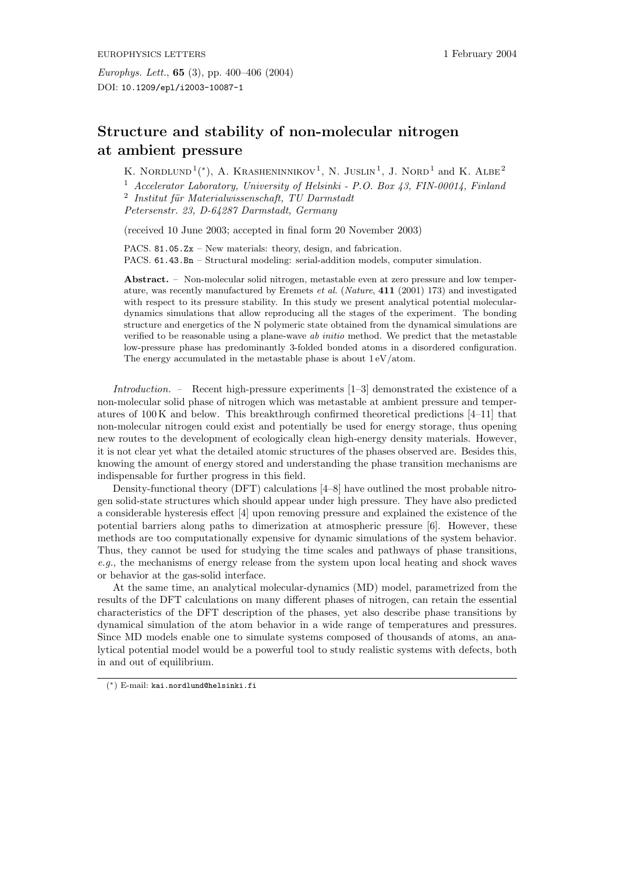## **Structure and stability of non-molecular nitrogen at ambient pressure**

K. NORDLUND<sup>1</sup>(\*), A. KRASHENINNIKOV<sup>1</sup>, N. JUSLIN<sup>1</sup>, J. NORD<sup>1</sup> and K. ALBE<sup>2</sup> <sup>1</sup> *Accelerator Laboratory, University of Helsinki - P.O. Box 43, FIN-00014, Finland* <sup>2</sup> Institut für Materialwissenschaft, TU Darmstadt *Petersenstr. 23, D-64287 Darmstadt, Germany*

(received 10 June 2003; accepted in final form 20 November 2003)

PACS. 81.05.Zx – New materials: theory, design, and fabrication. PACS. 61.43.Bn – Structural modeling: serial-addition models, computer simulation.

**Abstract.** – Non-molecular solid nitrogen, metastable even at zero pressure and low temperature, was recently manufactured by Eremets et al. (Nature, **411** (2001) 173) and investigated with respect to its pressure stability. In this study we present analytical potential moleculardynamics simulations that allow reproducing all the stages of the experiment. The bonding structure and energetics of the N polymeric state obtained from the dynamical simulations are verified to be reasonable using a plane-wave ab initio method. We predict that the metastable low-pressure phase has predominantly 3-folded bonded atoms in a disordered configuration. The energy accumulated in the metastable phase is about  $1 \frac{eV}{\text{atom}}$ .

*Introduction. –* Recent high-pressure experiments [1–3] demonstrated the existence of a non-molecular solid phase of nitrogen which was metastable at ambient pressure and temperatures of  $100 \text{ K}$  and below. This breakthrough confirmed theoretical predictions  $[4-11]$  that non-molecular nitrogen could exist and potentially be used for energy storage, thus opening new routes to the development of ecologically clean high-energy density materials. However, it is not clear yet what the detailed atomic structures of the phases observed are. Besides this, knowing the amount of energystored and understanding the phase transition mechanisms are indispensable for further progress in this field.

Density-functional theory (DFT) calculations [4–8] have outlined the most probable nitrogen solid-state structures which should appear under high pressure. Theyhave also predicted a considerable hysteresis effect [4] upon removing pressure and explained the existence of the potential barriers along paths to dimerization at atmospheric pressure [6]. However, these methods are too computationally expensive for dynamic simulations of the system behavior. Thus, they cannot be used for studying the time scales and pathways of phase transitions, *e.g.*, the mechanisms of energy release from the system upon local heating and shock waves or behavior at the gas-solid interface.

At the same time, an analytical molecular-dynamics (MD) model, parametrized from the results of the DFT calculations on manydifferent phases of nitrogen, can retain the essential characteristics of the DFT description of the phases, yet also describe phase transitions by dynamical simulation of the atom behavior in a wide range of temperatures and pressures. Since MD models enable one to simulate systems composed of thousands of atoms, an analytical potential model would be a powerful tool to study realistic systems with defects, both in and out of equilibrium.

<sup>(</sup>∗) E-mail: kai.nordlund@helsinki.fi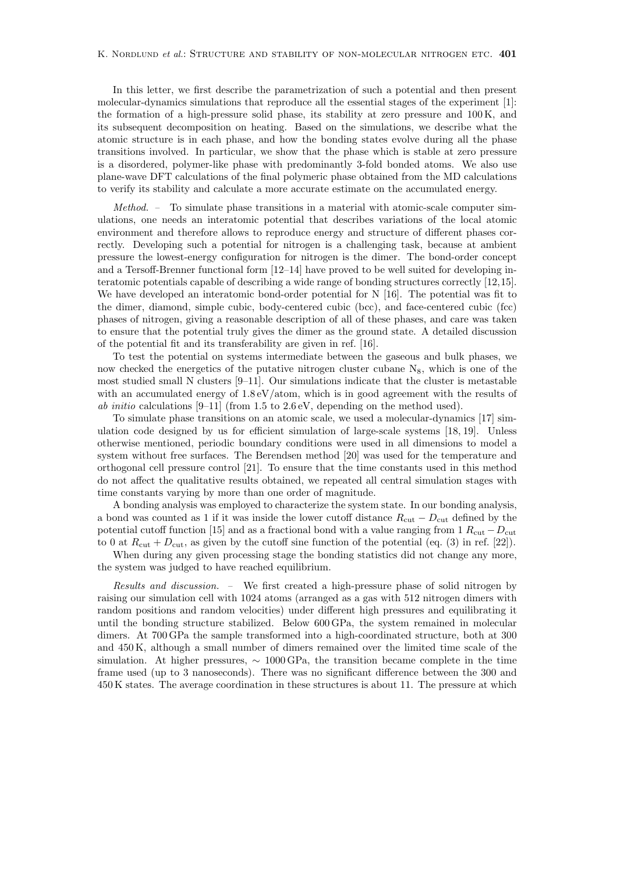In this letter, we first describe the parametrization of such a potential and then present molecular-dynamics simulations that reproduce all the essential stages of the experiment [1]: the formation of a high-pressure solid phase, its stability at zero pressure and  $100 \text{ K}$ , and its subsequent decomposition on heating. Based on the simulations, we describe what the atomic structure is in each phase, and how the bonding states evolve during all the phase transitions involved. In particular, we show that the phase which is stable at zero pressure is a disordered, polymer-like phase with predominantly 3-fold bonded atoms. We also use plane-wave DFT calculations of the final polymeric phase obtained from the MD calculations to verifyits stabilityand calculate a more accurate estimate on the accumulated energy.

*Method. –* To simulate phase transitions in a material with atomic-scale computer simulations, one needs an interatomic potential that describes variations of the local atomic environment and therefore allows to reproduce energyand structure of different phases correctly. Developing such a potential for nitrogen is a challenging task, because at ambient pressure the lowest-energyconfiguration for nitrogen is the dimer. The bond-order concept and a Tersoff-Brenner functional form [12–14] have proved to be well suited for developing interatomic potentials capable of describing a wide range of bonding structures correctly[12,15]. We have developed an interatomic bond-order potential for N [16]. The potential was fit to the dimer, diamond, simple cubic, body-centered cubic (bcc), and face-centered cubic (fcc) phases of nitrogen, giving a reasonable description of all of these phases, and care was taken to ensure that the potential trulygives the dimer as the ground state. A detailed discussion of the potential fit and its transferabilityare given in ref. [16].

To test the potential on systems intermediate between the gaseous and bulk phases, we now checked the energetics of the putative nitrogen cluster cubane  $N_8$ , which is one of the most studied small N clusters  $[9-11]$ . Our simulations indicate that the cluster is metastable with an accumulated energy of  $1.8 \text{ eV}$ /atom, which is in good agreement with the results of *ab initio* calculations  $[9-11]$  (from 1.5 to 2.6 eV, depending on the method used).

To simulate phase transitions on an atomic scale, we used a molecular-dynamics [17] simulation code designed byus for efficient simulation of large-scale systems [18, 19]. Unless otherwise mentioned, periodic boundaryconditions were used in all dimensions to model a system without free surfaces. The Berendsen method [20] was used for the temperature and orthogonal cell pressure control [21]. To ensure that the time constants used in this method do not affect the qualitative results obtained, we repeated all central simulation stages with time constants varying by more than one order of magnitude.

A bonding analysis was employed to characterize the system state. In our bonding analysis, a bond was counted as 1 if it was inside the lower cutoff distance  $R_{\text{cut}} - D_{\text{cut}}$  defined by the potential cutoff function [15] and as a fractional bond with a value ranging from 1  $R_{\text{cut}} - D_{\text{cut}}$ to 0 at  $R_{\text{cut}} + D_{\text{cut}}$ , as given by the cutoff sine function of the potential (eq. (3) in ref. [22]).

When during any given processing stage the bonding statistics did not change any more, the system was judged to have reached equilibrium.

*Results and discussion. –* We first created a high-pressure phase of solid nitrogen by raising our simulation cell with 1024 atoms (arranged as a gas with 512 nitrogen dimers with random positions and random velocities) under different high pressures and equilibrating it until the bonding structure stabilized. Below 600 GPa, the system remained in molecular dimers. At 700 GPa the sample transformed into a high-coordinated structure, both at 300 and 450 K, although a small number of dimers remained over the limited time scale of the simulation. At higher pressures,  $\sim 1000$  GPa, the transition became complete in the time frame used (up to 3 nanoseconds). There was no significant difference between the 300 and 450 K states. The average coordination in these structures is about 11. The pressure at which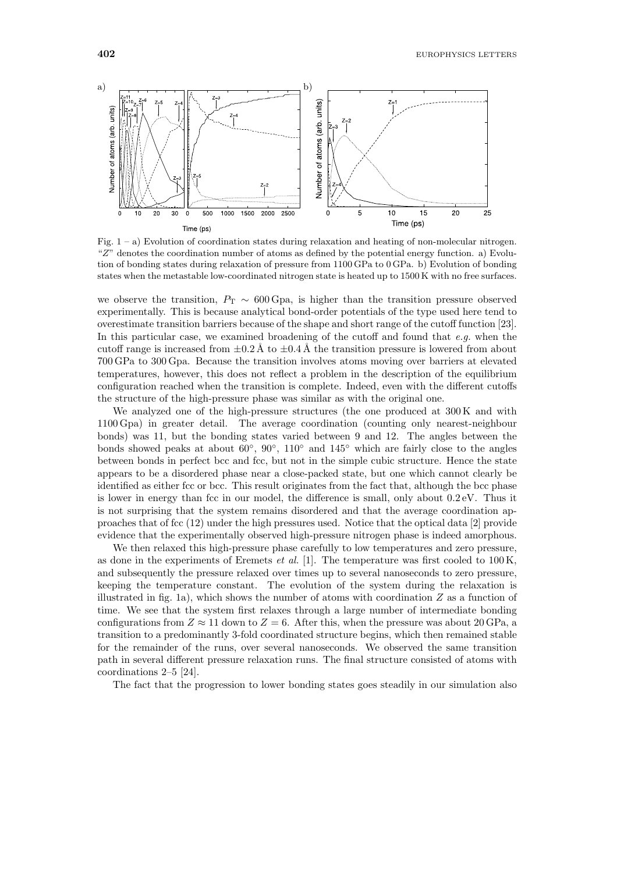

Fig.  $1 - a$ ) Evolution of coordination states during relaxation and heating of non-molecular nitrogen. "Z" denotes the coordination number of atoms as defined by the potential energy function. a) Evolution of bonding states during relaxation of pressure from 1100 GPa to 0 GPa. b) Evolution of bonding states when the metastable low-coordinated nitrogen state is heated up to 1500 K with no free surfaces.

we observe the transition,  $P_T \sim 600$  Gpa, is higher than the transition pressure observed experimentally. This is because analytical bond-order potentials of the type used here tend to overestimate transition barriers because of the shape and short range of the cutoff function [23]. In this particular case, we examined broadening of the cutoff and found that *e.g.* when the cutoff range is increased from  $\pm 0.2 \text{ Å}$  to  $\pm 0.4 \text{ Å}$  the transition pressure is lowered from about 700 GPa to 300 Gpa. Because the transition involves atoms moving over barriers at elevated temperatures, however, this does not reflect a problem in the description of the equilibrium configuration reached when the transition is complete. Indeed, even with the different cutoffs the structure of the high-pressure phase was similar as with the original one.

We analyzed one of the high-pressure structures (the one produced at 300 K and with 1100 Gpa) in greater detail. The average coordination (counting onlynearest-neighbour bonds) was 11, but the bonding states varied between 9 and 12. The angles between the bonds showed peaks at about  $60°$ ,  $90°$ ,  $110°$  and  $145°$  which are fairly close to the angles between bonds in perfect bcc and fcc, but not in the simple cubic structure. Hence the state appears to be a disordered phase near a close-packed state, but one which cannot clearlybe identified as either fcc or bcc. This result originates from the fact that, although the bcc phase is lower in energythan fcc in our model, the difference is small, onlyabout 0.2 eV. Thus it is not surprising that the system remains disordered and that the average coordination approaches that of fcc (12) under the high pressures used. Notice that the optical data [2] provide evidence that the experimentally observed high-pressure nitrogen phase is indeed amorphous.

We then relaxed this high-pressure phase carefully to low temperatures and zero pressure, as done in the experiments of Eremets *et al.* [1]. The temperature was first cooled to 100 K, and subsequently the pressure relaxed over times up to several nanoseconds to zero pressure, keeping the temperature constant. The evolution of the system during the relaxation is illustrated in fig. 1a), which shows the number of atoms with coordination  $Z$  as a function of time. We see that the system first relaxes through a large number of intermediate bonding configurations from  $Z \approx 11$  down to  $Z = 6$ . After this, when the pressure was about 20 GPa, a transition to a predominantly3-fold coordinated structure begins, which then remained stable for the remainder of the runs, over several nanoseconds. We observed the same transition path in several different pressure relaxation runs. The final structure consisted of atoms with coordinations 2–5 [24].

The fact that the progression to lower bonding states goes steadily in our simulation also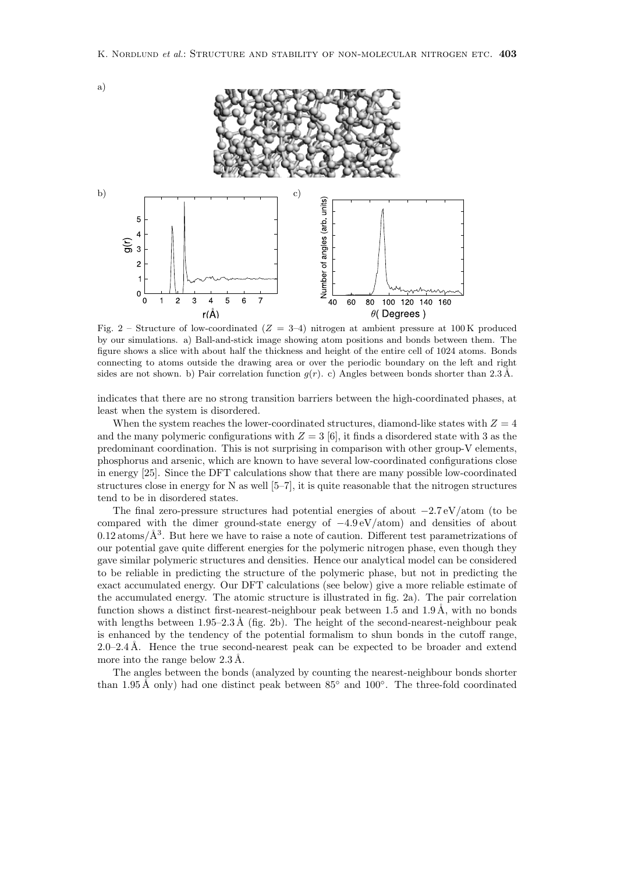

Fig. 2 – Structure of low-coordinated  $(Z = 3-4)$  nitrogen at ambient pressure at 100K produced by our simulations. a) Ball-and-stick image showing atom positions and bonds between them. The figure shows a slice with about half the thickness and height of the entire cell of 1024 atoms. Bonds connecting to atoms outside the drawing area or over the periodic boundary on the left and right sides are not shown. b) Pair correlation function  $g(r)$ . c) Angles between bonds shorter than 2.3 Å.

indicates that there are no strong transition barriers between the high-coordinated phases, at least when the system is disordered.

When the system reaches the lower-coordinated structures, diamond-like states with  $Z = 4$ and the many polymeric configurations with  $Z = 3$  [6], it finds a disordered state with 3 as the predominant coordination. This is not surprising in comparison with other group-V elements, phosphorus and arsenic, which are known to have several low-coordinated configurations close in energy[25]. Since the DFT calculations show that there are manypossible low-coordinated structures close in energy for N as well  $[5-7]$ , it is quite reasonable that the nitrogen structures tend to be in disordered states.

The final zero-pressure structures had potential energies of about −2*.*7 eV*/*atom (to be compared with the dimer ground-state energyof −4*.*9 eV*/*atom) and densities of about  $0.12$  atoms/ $\AA^3$ . But here we have to raise a note of caution. Different test parametrizations of our potential gave quite different energies for the polymeric nitrogen phase, even though they gave similar polymeric structures and densities. Hence our analytical model can be considered to be reliable in predicting the structure of the polymeric phase, but not in predicting the exact accumulated energy. Our DFT calculations (see below) give a more reliable estimate of the accumulated energy. The atomic structure is illustrated in fig. 2a). The pair correlation function shows a distinct first-nearest-neighbour peak between 1.5 and 1.9 Å, with no bonds with lengths between  $1.95-2.3 \text{ Å}$  (fig. 2b). The height of the second-nearest-neighbour peak is enhanced by the tendency of the potential formalism to shun bonds in the cutoff range,  $2.0-2.4$  Å. Hence the true second-nearest peak can be expected to be broader and extend more into the range below  $2.3 \text{ Å}$ .

The angles between the bonds (analyzed by counting the nearest-neighbour bonds shorter than 1.95 Å only) had one distinct peak between  $85^{\circ}$  and  $100^{\circ}$ . The three-fold coordinated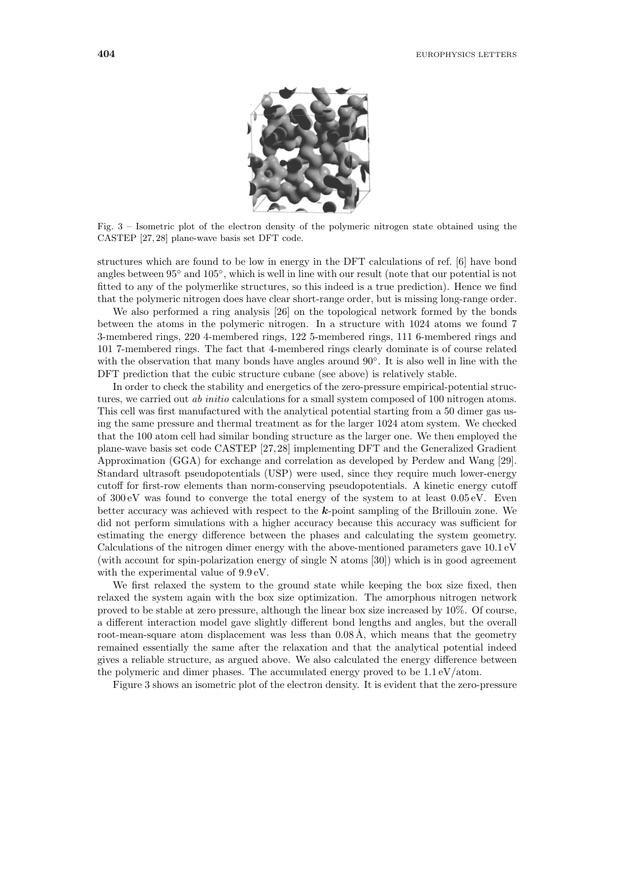

Fig. 3 – Isometric plot of the electron density of the polymeric nitrogen state obtained using the CASTEP [27, 28] plane-wave basis set DFT code.

structures which are found to be low in energyin the DFT calculations of ref. [6] have bond angles between 95◦ and 105◦, which is well in line with our result (note that our potential is not fitted to anyof the polymerlike structures, so this indeed is a true prediction). Hence we find that the polymeric nitrogen does have clear short-range order, but is missing long-range order.

We also performed a ring analysis [26] on the topological network formed by the bonds between the atoms in the polymeric nitrogen. In a structure with 1024 atoms we found 7 3-membered rings, 220 4-membered rings, 122 5-membered rings, 111 6-membered rings and 101 7-membered rings. The fact that 4-membered rings clearlydominate is of course related with the observation that many bonds have angles around  $90°$ . It is also well in line with the DFT prediction that the cubic structure cubane (see above) is relatively stable.

In order to check the stability and energetics of the zero-pressure empirical-potential structures, we carried out *ab initio* calculations for a small system composed of 100 nitrogen atoms. This cell was first manufactured with the analytical potential starting from a 50 dimer gas using the same pressure and thermal treatment as for the larger 1024 atom system. We checked that the 100 atom cell had similar bonding structure as the larger one. We then employed the plane-wave basis set code CASTEP [27, 28] implementing DFT and the Generalized Gradient Approximation (GGA) for exchange and correlation as developed by Perdew and Wang [29]. Standard ultrasoft pseudopotentials (USP) were used, since theyrequire much lower-energy cutoff for first-row elements than norm-conserving pseudopotentials. A kinetic energycutoff of 300 eV was found to converge the total energyof the system to at least 0.05 eV. Even better accuracywas achieved with respect to the *k*-point sampling of the Brillouin zone. We did not perform simulations with a higher accuracy because this accuracy was sufficient for estimating the energy difference between the phases and calculating the system geometry. Calculations of the nitrogen dimer energywith the above-mentioned parameters gave 10.1 eV (with account for spin-polarization energyof single N atoms [30]) which is in good agreement with the experimental value of 9.9 eV.

We first relaxed the system to the ground state while keeping the box size fixed, then relaxed the system again with the box size optimization. The amorphous nitrogen network proved to be stable at zero pressure, although the linear box size increased by10%. Of course, a different interaction model gave slightly different bond lengths and angles, but the overall root-mean-square atom displacement was less than  $0.08 \text{ Å}$ , which means that the geometry remained essentiallythe same after the relaxation and that the analytical potential indeed gives a reliable structure, as argued above. We also calculated the energydifference between the polymeric and dimer phases. The accumulated energy proved to be 1.1 eV*/*atom.

Figure 3 shows an isometric plot of the electron density. It is evident that the zero-pressure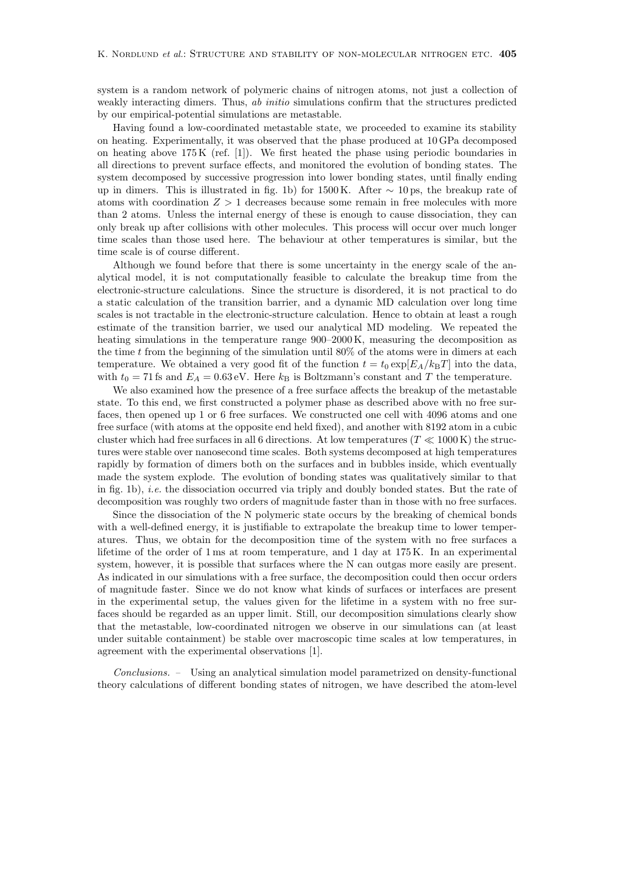system is a random network of polymeric chains of nitrogen atoms, not just a collection of weakly interacting dimers. Thus, *ab initio* simulations confirm that the structures predicted byour empirical-potential simulations are metastable.

Having found a low-coordinated metastable state, we proceeded to examine its stability on heating. Experimentally, it was observed that the phase produced at 10 GPa decomposed on heating above  $175K$  (ref. [1]). We first heated the phase using periodic boundaries in all directions to prevent surface effects, and monitored the evolution of bonding states. The system decomposed by successive progression into lower bonding states, until finally ending up in dimers. This is illustrated in fig. 1b) for 1500 K. After  $\sim$  10 ps, the breakup rate of atoms with coordination *Z >* 1 decreases because some remain in free molecules with more than 2 atoms. Unless the internal energyof these is enough to cause dissociation, theycan onlybreak up after collisions with other molecules. This process will occur over much longer time scales than those used here. The behaviour at other temperatures is similar, but the time scale is of course different.

Although we found before that there is some uncertainty in the energy scale of the analytical model, it is not computationally feasible to calculate the breakup time from the electronic-structure calculations. Since the structure is disordered, it is not practical to do a static calculation of the transition barrier, and a dynamic MD calculation over long time scales is not tractable in the electronic-structure calculation. Hence to obtain at least a rough estimate of the transition barrier, we used our analytical MD modeling. We repeated the heating simulations in the temperature range  $900-2000$  K, measuring the decomposition as the time *t* from the beginning of the simulation until 80% of the atoms were in dimers at each temperature. We obtained a very good fit of the function  $t = t_0 \exp[E_A/k_B T]$  into the data, with  $t_0 = 71$  fs and  $E_A = 0.63$  eV. Here  $k_B$  is Boltzmann's constant and T the temperature.

We also examined how the presence of a free surface affects the breakup of the metastable state. To this end, we first constructed a polymer phase as described above with no free surfaces, then opened up 1 or 6 free surfaces. We constructed one cell with 4096 atoms and one free surface (with atoms at the opposite end held fixed), and another with 8192 atom in a cubic cluster which had free surfaces in all 6 directions. At low temperatures ( $T \ll 1000 \,\mathrm{K}$ ) the structures were stable over nanosecond time scales. Both systems decomposed at high temperatures rapidly by formation of dimers both on the surfaces and in bubbles inside, which eventually made the system explode. The evolution of bonding states was qualitatively similar to that in fig. 1b), *i.e.* the dissociation occurred via triply and doubly bonded states. But the rate of decomposition was roughly two orders of magnitude faster than in those with no free surfaces.

Since the dissociation of the N polymeric state occurs by the breaking of chemical bonds with a well-defined energy, it is justifiable to extrapolate the breakup time to lower temperatures. Thus, we obtain for the decomposition time of the system with no free surfaces a lifetime of the order of 1 ms at room temperature, and 1 dayat 175 K. In an experimental system, however, it is possible that surfaces where the N can outgas more easily are present. As indicated in our simulations with a free surface, the decomposition could then occur orders of magnitude faster. Since we do not know what kinds of surfaces or interfaces are present in the experimental setup, the values given for the lifetime in a system with no free surfaces should be regarded as an upper limit. Still, our decomposition simulations clearlyshow that the metastable, low-coordinated nitrogen we observe in our simulations can (at least under suitable containment) be stable over macroscopic time scales at low temperatures, in agreement with the experimental observations [1].

*Conclusions. –* Using an analytical simulation model parametrized on density-functional theorycalculations of different bonding states of nitrogen, we have described the atom-level